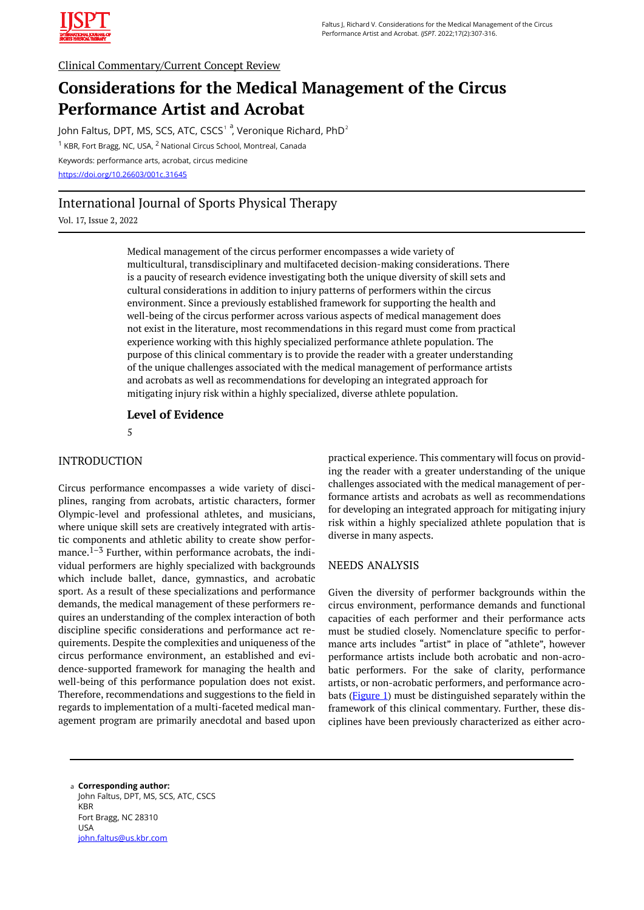

# Clinical Commentary/Current Concept Review

# **Considerations for the Medical Management of the Circus Performance Artist and Acrobat**

John Faltus, DPT, MS, SCS, ATC, CSCS $^{\rm 1}$   $^{\rm a}$ , Veronique Richard, PhD $^{\rm 2}$ <sup>1</sup> KBR, Fort Bragg, NC, USA, <sup>2</sup> National Circus School, Montreal, Canada Keywords: performance arts, acrobat, circus medicine <https://doi.org/10.26603/001c.31645>

# International Journal of Sports Physical Therapy

Vol. 17, Issue 2, 2022

Medical management of the circus performer encompasses a wide variety of multicultural, transdisciplinary and multifaceted decision-making considerations. There is a paucity of research evidence investigating both the unique diversity of skill sets and cultural considerations in addition to injury patterns of performers within the circus environment. Since a previously established framework for supporting the health and well-being of the circus performer across various aspects of medical management does not exist in the literature, most recommendations in this regard must come from practical experience working with this highly specialized performance athlete population. The purpose of this clinical commentary is to provide the reader with a greater understanding of the unique challenges associated with the medical management of performance artists and acrobats as well as recommendations for developing an integrated approach for mitigating injury risk within a highly specialized, diverse athlete population.

**Level of Evidence** 

5

# INTRODUCTION

Circus performance encompasses a wide variety of disciplines, ranging from acrobats, artistic characters, former Olympic-level and professional athletes, and musicians, where unique skill sets are creatively integrated with artistic components and athletic ability to create show performance. $1-3$  Further, within performance acrobats, the individual performers are highly specialized with backgrounds which include ballet, dance, gymnastics, and acrobatic sport. As a result of these specializations and performance demands, the medical management of these performers requires an understanding of the complex interaction of both discipline specific considerations and performance act requirements. Despite the complexities and uniqueness of the circus performance environment, an established and evidence-supported framework for managing the health and well-being of this performance population does not exist. Therefore, recommendations and suggestions to the field in regards to implementation of a multi-faceted medical management program are primarily anecdotal and based upon practical experience. This commentary will focus on providing the reader with a greater understanding of the unique challenges associated with the medical management of performance artists and acrobats as well as recommendations for developing an integrated approach for mitigating injury risk within a highly specialized athlete population that is diverse in many aspects.

## NEEDS ANALYSIS

Given the diversity of performer backgrounds within the circus environment, performance demands and functional capacities of each performer and their performance acts must be studied closely. Nomenclature specific to performance arts includes "artist" in place of "athlete", however performance artists include both acrobatic and non-acrobatic performers. For the sake of clarity, performance artists, or non-acrobatic performers, and performance acrobats ([Figure 1\)](#page-1-0) must be distinguished separately within the framework of this clinical commentary. Further, these disciplines have been previously characterized as either acro-

**Corresponding author:**  a John Faltus, DPT, MS, SCS, ATC, CSCS KBR Fort Bragg, NC 28310 USA [john.faltus@us.kbr.com](mailto:john.faltus@us.kbr.com)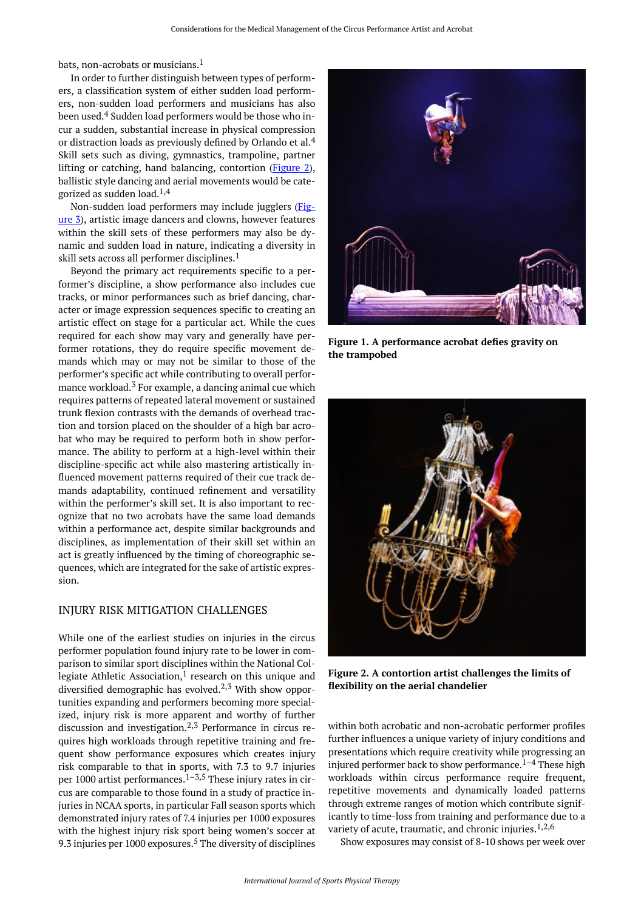<span id="page-1-0"></span>bats, non-acrobats or musicians.<sup>1</sup>

In order to further distinguish between types of performers, a classification system of either sudden load performers, non-sudden load performers and musicians has also been used.<sup>4</sup> Sudden load performers would be those who incur a sudden, substantial increase in physical compression or distraction loads as previously defined by Orlando et al.<sup>4</sup> Skill sets such as diving, gymnastics, trampoline, partner lifting or catching, hand balancing, contortion [\(Figure 2](#page-1-1)), ballistic style dancing and aerial movements would be categorized as sudden load. $1,4$ 

Non-sudden load performers may include jugglers [\(Fig](#page-2-0)[ure 3](#page-2-0)), artistic image dancers and clowns, however features within the skill sets of these performers may also be dynamic and sudden load in nature, indicating a diversity in skill sets across all performer disciplines.<sup>1</sup>

<span id="page-1-1"></span>Beyond the primary act requirements specific to a performer's discipline, a show performance also includes cue tracks, or minor performances such as brief dancing, character or image expression sequences specific to creating an artistic effect on stage for a particular act. While the cues required for each show may vary and generally have performer rotations, they do require specific movement demands which may or may not be similar to those of the performer's specific act while contributing to overall performance workload. $3$  For example, a dancing animal cue which requires patterns of repeated lateral movement or sustained trunk flexion contrasts with the demands of overhead traction and torsion placed on the shoulder of a high bar acrobat who may be required to perform both in show performance. The ability to perform at a high-level within their discipline-specific act while also mastering artistically influenced movement patterns required of their cue track demands adaptability, continued refinement and versatility within the performer's skill set. It is also important to recognize that no two acrobats have the same load demands within a performance act, despite similar backgrounds and disciplines, as implementation of their skill set within an act is greatly influenced by the timing of choreographic sequences, which are integrated for the sake of artistic expression.

#### INJURY RISK MITIGATION CHALLENGES

While one of the earliest studies on injuries in the circus performer population found injury rate to be lower in comparison to similar sport disciplines within the National Collegiate Athletic Association, $<sup>1</sup>$  research on this unique and</sup> diversified demographic has evolved.<sup>2,3</sup> With show opportunities expanding and performers becoming more specialized, injury risk is more apparent and worthy of further discussion and investigation. $2,3$  Performance in circus requires high workloads through repetitive training and frequent show performance exposures which creates injury risk comparable to that in sports, with 7.3 to 9.7 injuries per 1000 artist performances. $1-3,5$  These injury rates in circus are comparable to those found in a study of practice injuries in NCAA sports, in particular Fall season sports which demonstrated injury rates of 7.4 injuries per 1000 exposures with the highest injury risk sport being women's soccer at 9.3 injuries per 1000 exposures.<sup>5</sup> The diversity of disciplines



**Figure 1. A performance acrobat defies gravity on the trampobed** 



**Figure 2. A contortion artist challenges the limits of flexibility on the aerial chandelier** 

within both acrobatic and non-acrobatic performer profiles further influences a unique variety of injury conditions and presentations which require creativity while progressing an injured performer back to show performance.<sup>1–4</sup> These high workloads within circus performance require frequent, repetitive movements and dynamically loaded patterns through extreme ranges of motion which contribute significantly to time-loss from training and performance due to a variety of acute, traumatic, and chronic injuries.<sup>1,2,6</sup>

Show exposures may consist of 8-10 shows per week over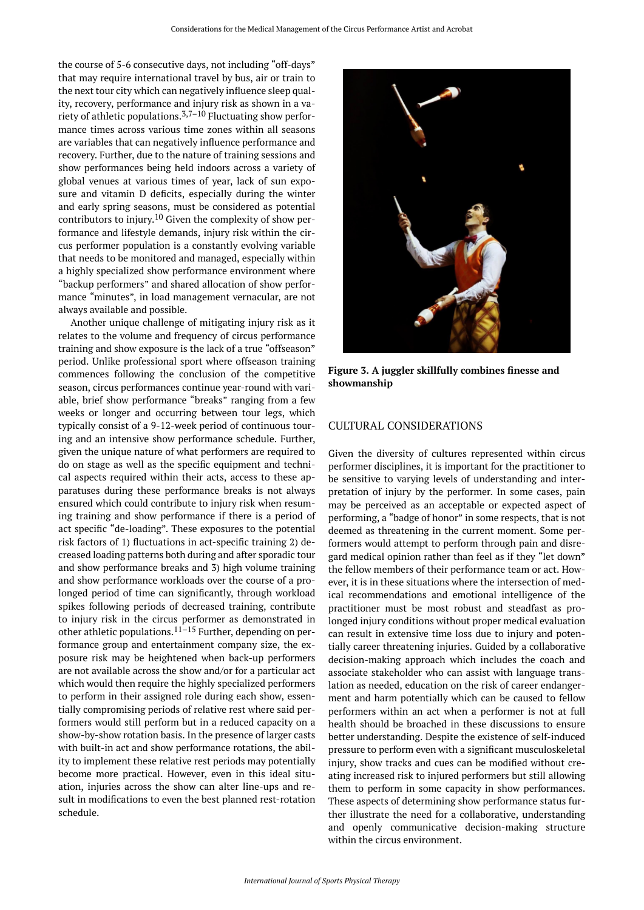<span id="page-2-0"></span>the course of 5-6 consecutive days, not including "off-days" that may require international travel by bus, air or train to the next tour city which can negatively influence sleep quality, recovery, performance and injury risk as shown in a variety of athletic populations.<sup>3,7-10</sup> Fluctuating show performance times across various time zones within all seasons are variables that can negatively influence performance and recovery. Further, due to the nature of training sessions and show performances being held indoors across a variety of global venues at various times of year, lack of sun exposure and vitamin D deficits, especially during the winter and early spring seasons, must be considered as potential contributors to injury.<sup>10</sup> Given the complexity of show performance and lifestyle demands, injury risk within the circus performer population is a constantly evolving variable that needs to be monitored and managed, especially within a highly specialized show performance environment where "backup performers" and shared allocation of show performance "minutes", in load management vernacular, are not always available and possible.

Another unique challenge of mitigating injury risk as it relates to the volume and frequency of circus performance training and show exposure is the lack of a true "offseason" period. Unlike professional sport where offseason training commences following the conclusion of the competitive season, circus performances continue year-round with variable, brief show performance "breaks" ranging from a few weeks or longer and occurring between tour legs, which typically consist of a 9-12-week period of continuous touring and an intensive show performance schedule. Further, given the unique nature of what performers are required to do on stage as well as the specific equipment and technical aspects required within their acts, access to these apparatuses during these performance breaks is not always ensured which could contribute to injury risk when resuming training and show performance if there is a period of act specific "de-loading". These exposures to the potential risk factors of 1) fluctuations in act-specific training 2) decreased loading patterns both during and after sporadic tour and show performance breaks and 3) high volume training and show performance workloads over the course of a prolonged period of time can significantly, through workload spikes following periods of decreased training, contribute to injury risk in the circus performer as demonstrated in other athletic populations.11–15 Further, depending on performance group and entertainment company size, the exposure risk may be heightened when back-up performers are not available across the show and/or for a particular act which would then require the highly specialized performers to perform in their assigned role during each show, essentially compromising periods of relative rest where said performers would still perform but in a reduced capacity on a show-by-show rotation basis. In the presence of larger casts with built-in act and show performance rotations, the ability to implement these relative rest periods may potentially become more practical. However, even in this ideal situation, injuries across the show can alter line-ups and result in modifications to even the best planned rest-rotation schedule.



**Figure 3. A juggler skillfully combines finesse and showmanship** 

#### CULTURAL CONSIDERATIONS

Given the diversity of cultures represented within circus performer disciplines, it is important for the practitioner to be sensitive to varying levels of understanding and interpretation of injury by the performer. In some cases, pain may be perceived as an acceptable or expected aspect of performing, a "badge of honor" in some respects, that is not deemed as threatening in the current moment. Some performers would attempt to perform through pain and disregard medical opinion rather than feel as if they "let down" the fellow members of their performance team or act. However, it is in these situations where the intersection of medical recommendations and emotional intelligence of the practitioner must be most robust and steadfast as prolonged injury conditions without proper medical evaluation can result in extensive time loss due to injury and potentially career threatening injuries. Guided by a collaborative decision-making approach which includes the coach and associate stakeholder who can assist with language translation as needed, education on the risk of career endangerment and harm potentially which can be caused to fellow performers within an act when a performer is not at full health should be broached in these discussions to ensure better understanding. Despite the existence of self-induced pressure to perform even with a significant musculoskeletal injury, show tracks and cues can be modified without creating increased risk to injured performers but still allowing them to perform in some capacity in show performances. These aspects of determining show performance status further illustrate the need for a collaborative, understanding and openly communicative decision-making structure within the circus environment.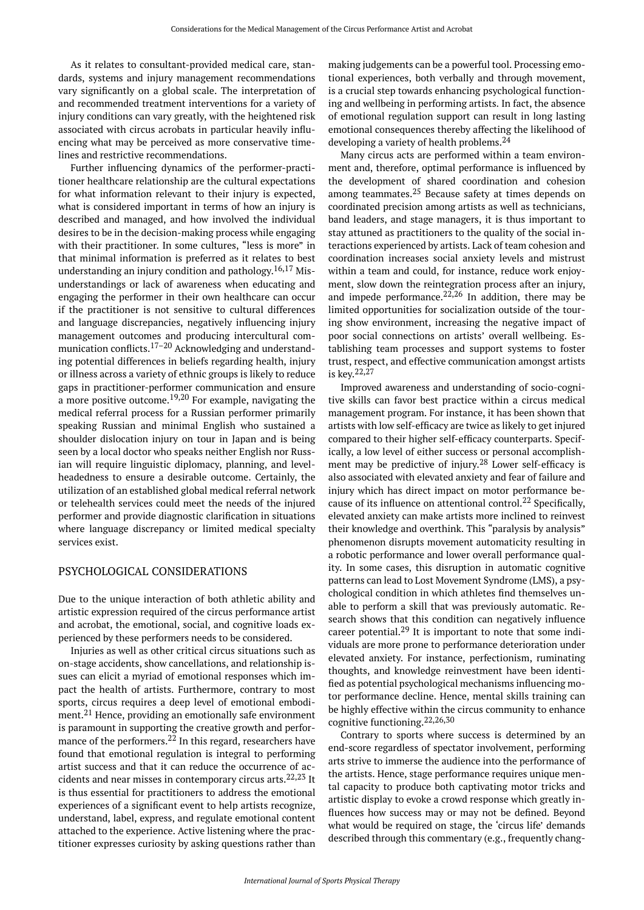As it relates to consultant-provided medical care, standards, systems and injury management recommendations vary significantly on a global scale. The interpretation of and recommended treatment interventions for a variety of injury conditions can vary greatly, with the heightened risk associated with circus acrobats in particular heavily influencing what may be perceived as more conservative timelines and restrictive recommendations.

Further influencing dynamics of the performer-practitioner healthcare relationship are the cultural expectations for what information relevant to their injury is expected, what is considered important in terms of how an injury is described and managed, and how involved the individual desires to be in the decision-making process while engaging with their practitioner. In some cultures, "less is more" in that minimal information is preferred as it relates to best understanding an injury condition and pathology. 16,17 Misunderstandings or lack of awareness when educating and engaging the performer in their own healthcare can occur if the practitioner is not sensitive to cultural differences and language discrepancies, negatively influencing injury management outcomes and producing intercultural communication conflicts.<sup>17–20</sup> Acknowledging and understanding potential differences in beliefs regarding health, injury or illness across a variety of ethnic groups is likely to reduce gaps in practitioner-performer communication and ensure a more positive outcome.<sup>19,20</sup> For example, navigating the medical referral process for a Russian performer primarily speaking Russian and minimal English who sustained a shoulder dislocation injury on tour in Japan and is being seen by a local doctor who speaks neither English nor Russian will require linguistic diplomacy, planning, and levelheadedness to ensure a desirable outcome. Certainly, the utilization of an established global medical referral network or telehealth services could meet the needs of the injured performer and provide diagnostic clarification in situations where language discrepancy or limited medical specialty services exist.

#### PSYCHOLOGICAL CONSIDERATIONS

Due to the unique interaction of both athletic ability and artistic expression required of the circus performance artist and acrobat, the emotional, social, and cognitive loads experienced by these performers needs to be considered.

Injuries as well as other critical circus situations such as on-stage accidents, show cancellations, and relationship issues can elicit a myriad of emotional responses which impact the health of artists. Furthermore, contrary to most sports, circus requires a deep level of emotional embodiment.<sup>21</sup> Hence, providing an emotionally safe environment is paramount in supporting the creative growth and performance of the performers.<sup>22</sup> In this regard, researchers have found that emotional regulation is integral to performing artist success and that it can reduce the occurrence of accidents and near misses in contemporary circus arts.  $22,23$  It is thus essential for practitioners to address the emotional experiences of a significant event to help artists recognize, understand, label, express, and regulate emotional content attached to the experience. Active listening where the practitioner expresses curiosity by asking questions rather than

making judgements can be a powerful tool. Processing emotional experiences, both verbally and through movement, is a crucial step towards enhancing psychological functioning and wellbeing in performing artists. In fact, the absence of emotional regulation support can result in long lasting emotional consequences thereby affecting the likelihood of developing a variety of health problems.<sup>24</sup>

Many circus acts are performed within a team environment and, therefore, optimal performance is influenced by the development of shared coordination and cohesion among teammates.<sup>25</sup> Because safety at times depends on coordinated precision among artists as well as technicians, band leaders, and stage managers, it is thus important to stay attuned as practitioners to the quality of the social interactions experienced by artists. Lack of team cohesion and coordination increases social anxiety levels and mistrust within a team and could, for instance, reduce work enjoyment, slow down the reintegration process after an injury, and impede performance.<sup>22,26</sup> In addition, there may be limited opportunities for socialization outside of the touring show environment, increasing the negative impact of poor social connections on artists' overall wellbeing. Establishing team processes and support systems to foster trust, respect, and effective communication amongst artists is key. 22,27

Improved awareness and understanding of socio-cognitive skills can favor best practice within a circus medical management program. For instance, it has been shown that artists with low self-efficacy are twice as likely to get injured compared to their higher self-efficacy counterparts. Specifically, a low level of either success or personal accomplishment may be predictive of injury. <sup>28</sup> Lower self-efficacy is also associated with elevated anxiety and fear of failure and injury which has direct impact on motor performance because of its influence on attentional control.<sup>22</sup> Specifically, elevated anxiety can make artists more inclined to reinvest their knowledge and overthink. This "paralysis by analysis" phenomenon disrupts movement automaticity resulting in a robotic performance and lower overall performance quality. In some cases, this disruption in automatic cognitive patterns can lead to Lost Movement Syndrome (LMS), a psychological condition in which athletes find themselves unable to perform a skill that was previously automatic. Research shows that this condition can negatively influence career potential.<sup>29</sup> It is important to note that some individuals are more prone to performance deterioration under elevated anxiety. For instance, perfectionism, ruminating thoughts, and knowledge reinvestment have been identified as potential psychological mechanisms influencing motor performance decline. Hence, mental skills training can be highly effective within the circus community to enhance cognitive functioning.22,26,30

Contrary to sports where success is determined by an end-score regardless of spectator involvement, performing arts strive to immerse the audience into the performance of the artists. Hence, stage performance requires unique mental capacity to produce both captivating motor tricks and artistic display to evoke a crowd response which greatly influences how success may or may not be defined. Beyond what would be required on stage, the 'circus life' demands described through this commentary (e.g., frequently chang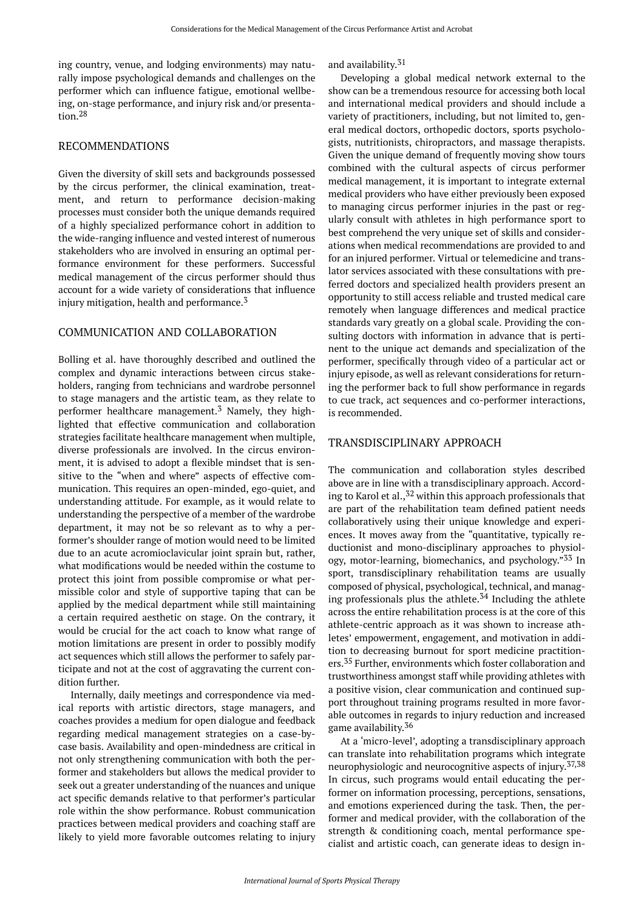ing country, venue, and lodging environments) may naturally impose psychological demands and challenges on the performer which can influence fatigue, emotional wellbeing, on-stage performance, and injury risk and/or presentation.<sup>28</sup>

## RECOMMENDATIONS

Given the diversity of skill sets and backgrounds possessed by the circus performer, the clinical examination, treatment, and return to performance decision-making processes must consider both the unique demands required of a highly specialized performance cohort in addition to the wide-ranging influence and vested interest of numerous stakeholders who are involved in ensuring an optimal performance environment for these performers. Successful medical management of the circus performer should thus account for a wide variety of considerations that influence injury mitigation, health and performance. $3$ 

# COMMUNICATION AND COLLABORATION

Bolling et al. have thoroughly described and outlined the complex and dynamic interactions between circus stakeholders, ranging from technicians and wardrobe personnel to stage managers and the artistic team, as they relate to performer healthcare management.<sup>3</sup> Namely, they highlighted that effective communication and collaboration strategies facilitate healthcare management when multiple, diverse professionals are involved. In the circus environment, it is advised to adopt a flexible mindset that is sensitive to the "when and where" aspects of effective communication. This requires an open-minded, ego-quiet, and understanding attitude. For example, as it would relate to understanding the perspective of a member of the wardrobe department, it may not be so relevant as to why a performer's shoulder range of motion would need to be limited due to an acute acromioclavicular joint sprain but, rather, what modifications would be needed within the costume to protect this joint from possible compromise or what permissible color and style of supportive taping that can be applied by the medical department while still maintaining a certain required aesthetic on stage. On the contrary, it would be crucial for the act coach to know what range of motion limitations are present in order to possibly modify act sequences which still allows the performer to safely participate and not at the cost of aggravating the current condition further.

Internally, daily meetings and correspondence via medical reports with artistic directors, stage managers, and coaches provides a medium for open dialogue and feedback regarding medical management strategies on a case-bycase basis. Availability and open-mindedness are critical in not only strengthening communication with both the performer and stakeholders but allows the medical provider to seek out a greater understanding of the nuances and unique act specific demands relative to that performer's particular role within the show performance. Robust communication practices between medical providers and coaching staff are likely to yield more favorable outcomes relating to injury

and availability. 31

Developing a global medical network external to the show can be a tremendous resource for accessing both local and international medical providers and should include a variety of practitioners, including, but not limited to, general medical doctors, orthopedic doctors, sports psychologists, nutritionists, chiropractors, and massage therapists. Given the unique demand of frequently moving show tours combined with the cultural aspects of circus performer medical management, it is important to integrate external medical providers who have either previously been exposed to managing circus performer injuries in the past or regularly consult with athletes in high performance sport to best comprehend the very unique set of skills and considerations when medical recommendations are provided to and for an injured performer. Virtual or telemedicine and translator services associated with these consultations with preferred doctors and specialized health providers present an opportunity to still access reliable and trusted medical care remotely when language differences and medical practice standards vary greatly on a global scale. Providing the consulting doctors with information in advance that is pertinent to the unique act demands and specialization of the performer, specifically through video of a particular act or injury episode, as well as relevant considerations for returning the performer back to full show performance in regards to cue track, act sequences and co-performer interactions, is recommended.

# TRANSDISCIPLINARY APPROACH

The communication and collaboration styles described above are in line with a transdisciplinary approach. According to Karol et al.,<sup>32</sup> within this approach professionals that are part of the rehabilitation team defined patient needs collaboratively using their unique knowledge and experiences. It moves away from the "quantitative, typically reductionist and mono-disciplinary approaches to physiology, motor-learning, biomechanics, and psychology."<sup>33</sup> In sport, transdisciplinary rehabilitation teams are usually composed of physical, psychological, technical, and managing professionals plus the athlete.<sup>34</sup> Including the athlete across the entire rehabilitation process is at the core of this athlete-centric approach as it was shown to increase athletes' empowerment, engagement, and motivation in addition to decreasing burnout for sport medicine practitioners.<sup>35</sup> Further, environments which foster collaboration and trustworthiness amongst staff while providing athletes with a positive vision, clear communication and continued support throughout training programs resulted in more favorable outcomes in regards to injury reduction and increased game availability. 36

At a 'micro-level', adopting a transdisciplinary approach can translate into rehabilitation programs which integrate neurophysiologic and neurocognitive aspects of injury. 37,38 In circus, such programs would entail educating the performer on information processing, perceptions, sensations, and emotions experienced during the task. Then, the performer and medical provider, with the collaboration of the strength & conditioning coach, mental performance specialist and artistic coach, can generate ideas to design in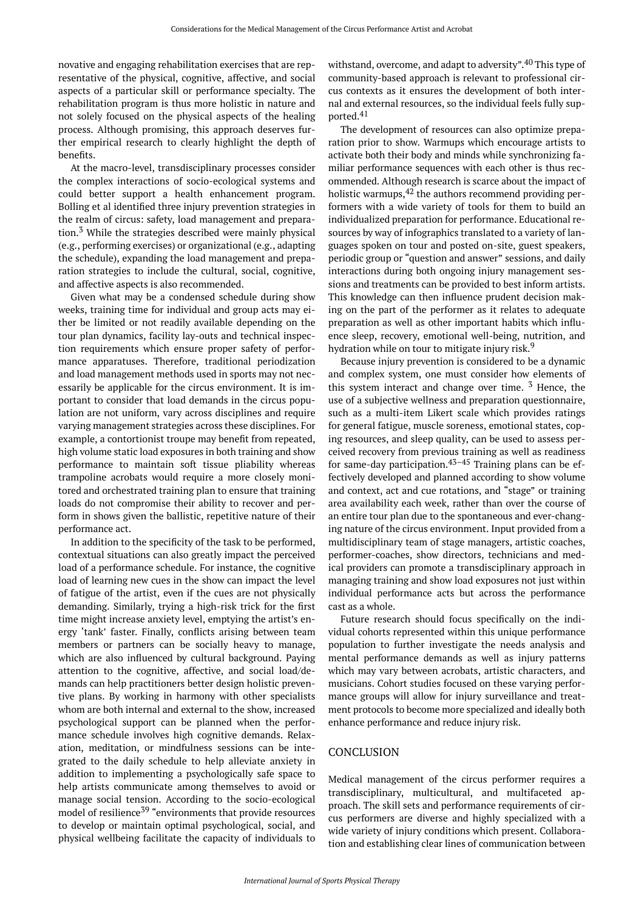novative and engaging rehabilitation exercises that are representative of the physical, cognitive, affective, and social aspects of a particular skill or performance specialty. The rehabilitation program is thus more holistic in nature and not solely focused on the physical aspects of the healing process. Although promising, this approach deserves further empirical research to clearly highlight the depth of benefits.

At the macro-level, transdisciplinary processes consider the complex interactions of socio-ecological systems and could better support a health enhancement program. Bolling et al identified three injury prevention strategies in the realm of circus: safety, load management and preparation.<sup>3</sup> While the strategies described were mainly physical (e.g., performing exercises) or organizational (e.g., adapting the schedule), expanding the load management and preparation strategies to include the cultural, social, cognitive, and affective aspects is also recommended.

Given what may be a condensed schedule during show weeks, training time for individual and group acts may either be limited or not readily available depending on the tour plan dynamics, facility lay-outs and technical inspection requirements which ensure proper safety of performance apparatuses. Therefore, traditional periodization and load management methods used in sports may not necessarily be applicable for the circus environment. It is important to consider that load demands in the circus population are not uniform, vary across disciplines and require varying management strategies across these disciplines. For example, a contortionist troupe may benefit from repeated, high volume static load exposures in both training and show performance to maintain soft tissue pliability whereas trampoline acrobats would require a more closely monitored and orchestrated training plan to ensure that training loads do not compromise their ability to recover and perform in shows given the ballistic, repetitive nature of their performance act.

In addition to the specificity of the task to be performed, contextual situations can also greatly impact the perceived load of a performance schedule. For instance, the cognitive load of learning new cues in the show can impact the level of fatigue of the artist, even if the cues are not physically demanding. Similarly, trying a high-risk trick for the first time might increase anxiety level, emptying the artist's energy 'tank' faster. Finally, conflicts arising between team members or partners can be socially heavy to manage, which are also influenced by cultural background. Paying attention to the cognitive, affective, and social load/demands can help practitioners better design holistic preventive plans. By working in harmony with other specialists whom are both internal and external to the show, increased psychological support can be planned when the performance schedule involves high cognitive demands. Relaxation, meditation, or mindfulness sessions can be integrated to the daily schedule to help alleviate anxiety in addition to implementing a psychologically safe space to help artists communicate among themselves to avoid or manage social tension. According to the socio-ecological model of resilience <sup>39</sup> "environments that provide resources to develop or maintain optimal psychological, social, and physical wellbeing facilitate the capacity of individuals to

withstand, overcome, and adapt to adversity". <sup>40</sup> This type of community-based approach is relevant to professional circus contexts as it ensures the development of both internal and external resources, so the individual feels fully supported.<sup>41</sup>

The development of resources can also optimize preparation prior to show. Warmups which encourage artists to activate both their body and minds while synchronizing familiar performance sequences with each other is thus recommended. Although research is scarce about the impact of holistic warmups, $42$  the authors recommend providing performers with a wide variety of tools for them to build an individualized preparation for performance. Educational resources by way of infographics translated to a variety of languages spoken on tour and posted on-site, guest speakers, periodic group or "question and answer" sessions, and daily interactions during both ongoing injury management sessions and treatments can be provided to best inform artists. This knowledge can then influence prudent decision making on the part of the performer as it relates to adequate preparation as well as other important habits which influence sleep, recovery, emotional well-being, nutrition, and hydration while on tour to mitigate injury risk.<sup>9</sup>

Because injury prevention is considered to be a dynamic and complex system, one must consider how elements of this system interact and change over time.  $3$  Hence, the use of a subjective wellness and preparation questionnaire, such as a multi-item Likert scale which provides ratings for general fatigue, muscle soreness, emotional states, coping resources, and sleep quality, can be used to assess perceived recovery from previous training as well as readiness for same-day participation.<sup>43–45</sup> Training plans can be effectively developed and planned according to show volume and context, act and cue rotations, and "stage" or training area availability each week, rather than over the course of an entire tour plan due to the spontaneous and ever-changing nature of the circus environment. Input provided from a multidisciplinary team of stage managers, artistic coaches, performer-coaches, show directors, technicians and medical providers can promote a transdisciplinary approach in managing training and show load exposures not just within individual performance acts but across the performance cast as a whole.

Future research should focus specifically on the individual cohorts represented within this unique performance population to further investigate the needs analysis and mental performance demands as well as injury patterns which may vary between acrobats, artistic characters, and musicians. Cohort studies focused on these varying performance groups will allow for injury surveillance and treatment protocols to become more specialized and ideally both enhance performance and reduce injury risk.

## **CONCLUSION**

Medical management of the circus performer requires a transdisciplinary, multicultural, and multifaceted approach. The skill sets and performance requirements of circus performers are diverse and highly specialized with a wide variety of injury conditions which present. Collaboration and establishing clear lines of communication between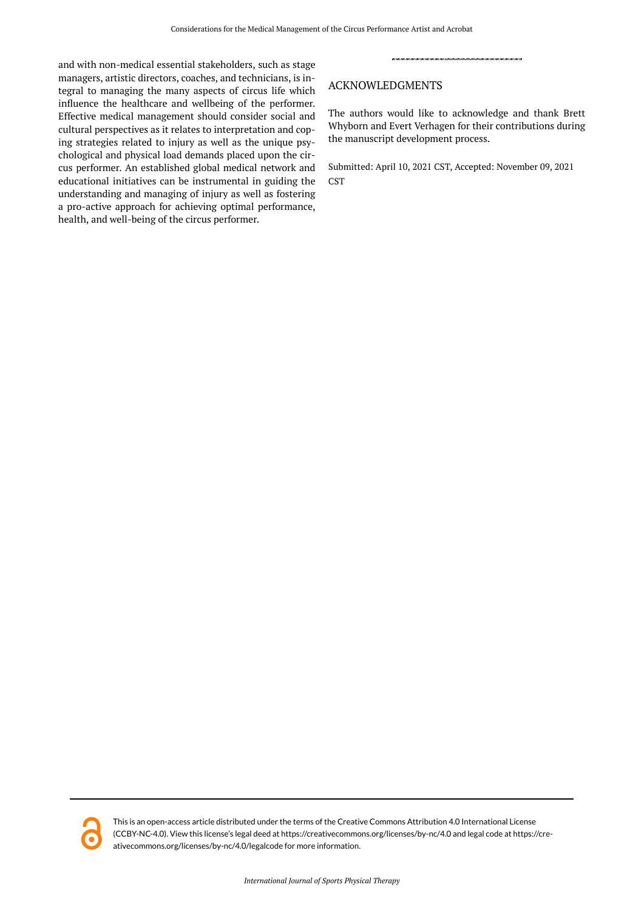and with non-medical essential stakeholders, such as stage managers, artistic directors, coaches, and technicians, is integral to managing the many aspects of circus life which influence the healthcare and wellbeing of the performer. Effective medical management should consider social and cultural perspectives as it relates to interpretation and coping strategies related to injury as well as the unique psychological and physical load demands placed upon the circus performer. An established global medical network and educational initiatives can be instrumental in guiding the understanding and managing of injury as well as fostering a pro-active approach for achieving optimal performance, health, and well-being of the circus performer.

# ACKNOWLEDGMENTS

The authors would like to acknowledge and thank Brett Whyborn and Evert Verhagen for their contributions during the manuscript development process.

Submitted: April 10, 2021 CST, Accepted: November 09, 2021 **CST** 



This is an open-access article distributed under the terms of the Creative Commons Attribution 4.0 International License (CCBY-NC-4.0). View this license's legal deed at https://creativecommons.org/licenses/by-nc/4.0 and legal code at https://creativecommons.org/licenses/by-nc/4.0/legalcode for more information.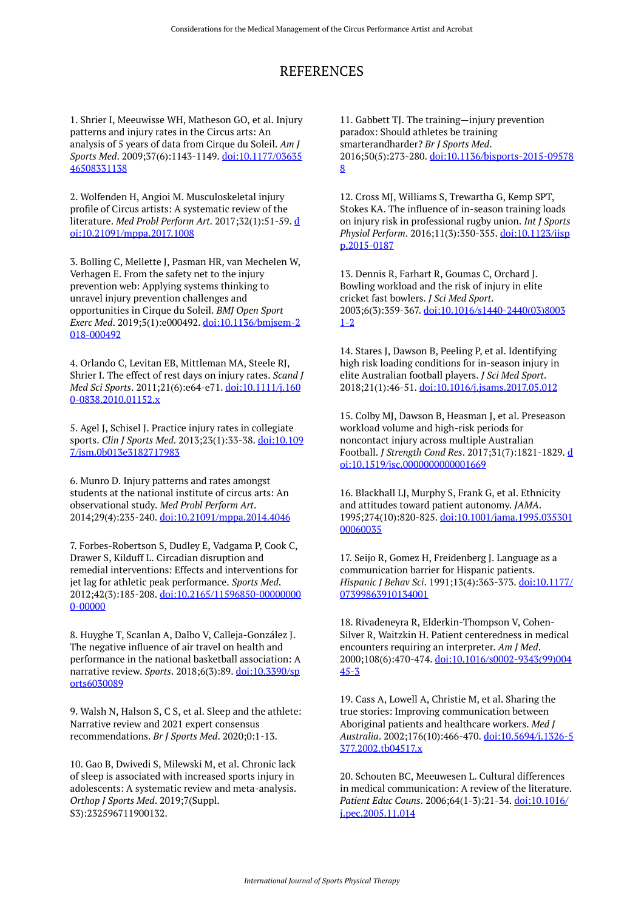# REFERENCES

1. Shrier I, Meeuwisse WH, Matheson GO, et al. Injury patterns and injury rates in the Circus arts: An analysis of 5 years of data from Cirque du Soleil. *Am J Sports Med*. 2009;37(6):1143-1149. [doi:10.1177/03635](https://doi.org/10.1177/0363546508331138) [46508331138](https://doi.org/10.1177/0363546508331138) 

2. Wolfenden H, Angioi M. Musculoskeletal injury profile of Circus artists: A systematic review of the literature. *Med Probl Perform Art*. 2017;32(1):51-59. [d](https://doi.org/10.21091/mppa.2017.1008) [oi:10.21091/mppa.2017.1008](https://doi.org/10.21091/mppa.2017.1008) 

3. Bolling C, Mellette J, Pasman HR, van Mechelen W, Verhagen E. From the safety net to the injury prevention web: Applying systems thinking to unravel injury prevention challenges and opportunities in Cirque du Soleil. *BMJ Open Sport Exerc Med*. 2019;5(1):e000492. [doi:10.1136/bmjsem-2](https://doi.org/10.1136/bmjsem-2018-000492) [018-000492](https://doi.org/10.1136/bmjsem-2018-000492) 

4. Orlando C, Levitan EB, Mittleman MA, Steele RJ, Shrier I. The effect of rest days on injury rates. *Scand J Med Sci Sports*. 2011;21(6):e64-e71. [doi:10.1111/j.160](https://doi.org/10.1111/j.1600-0838.2010.01152.x) [0-0838.2010.01152.x](https://doi.org/10.1111/j.1600-0838.2010.01152.x) 

5. Agel J, Schisel J. Practice injury rates in collegiate sports. *Clin J Sports Med*. 2013;23(1):33-38. [doi:10.109](https://doi.org/10.1097/jsm.0b013e3182717983) [7/jsm.0b013e3182717983](https://doi.org/10.1097/jsm.0b013e3182717983)

6. Munro D. Injury patterns and rates amongst students at the national institute of circus arts: An observational study. *Med Probl Perform Art*. 2014;29(4):235-240. [doi:10.21091/mppa.2014.4046](https://doi.org/10.21091/mppa.2014.4046)

7. Forbes-Robertson S, Dudley E, Vadgama P, Cook C, Drawer S, Kilduff L. Circadian disruption and remedial interventions: Effects and interventions for jet lag for athletic peak performance. *Sports Med*. 2012;42(3):185-208. [doi:10.2165/11596850-00000000](https://doi.org/10.2165/11596850-000000000-00000) [0-00000](https://doi.org/10.2165/11596850-000000000-00000)

8. Huyghe T, Scanlan A, Dalbo V, Calleja-González J. The negative influence of air travel on health and performance in the national basketball association: A narrative review. *Sports*. 2018;6(3):89. [doi:10.3390/sp](https://doi.org/10.3390/sports6030089) [orts6030089](https://doi.org/10.3390/sports6030089)

9. Walsh N, Halson S, C S, et al. Sleep and the athlete: Narrative review and 2021 expert consensus recommendations. *Br J Sports Med*. 2020;0:1-13.

10. Gao B, Dwivedi S, Milewski M, et al. Chronic lack of sleep is associated with increased sports injury in adolescents: A systematic review and meta-analysis. *Orthop J Sports Med*. 2019;7(Suppl. S3):232596711900132.

11. Gabbett TJ. The training—injury prevention paradox: Should athletes be training smarterandharder? *Br J Sports Med*. 2016;50(5):273-280. [doi:10.1136/bjsports-2015-09578](https://doi.org/10.1136/bjsports-2015-095788) [8](https://doi.org/10.1136/bjsports-2015-095788)

12. Cross MJ, Williams S, Trewartha G, Kemp SPT, Stokes KA. The influence of in-season training loads on injury risk in professional rugby union. *Int J Sports Physiol Perform*. 2016;11(3):350-355. [doi:10.1123/ijsp](https://doi.org/10.1123/ijspp.2015-0187) [p.2015-0187](https://doi.org/10.1123/ijspp.2015-0187)

13. Dennis R, Farhart R, Goumas C, Orchard J. Bowling workload and the risk of injury in elite cricket fast bowlers. *J Sci Med Sport*. 2003;6(3):359-367. [doi:10.1016/s1440-2440\(03\)8003](https://doi.org/10.1016/s1440-2440(03)80031-2) [1-2](https://doi.org/10.1016/s1440-2440(03)80031-2) 

14. Stares J, Dawson B, Peeling P, et al. Identifying high risk loading conditions for in-season injury in elite Australian football players. *J Sci Med Sport*. 2018;21(1):46-51. [doi:10.1016/j.jsams.2017.05.012](https://doi.org/10.1016/j.jsams.2017.05.012)

15. Colby MJ, Dawson B, Heasman J, et al. Preseason workload volume and high-risk periods for noncontact injury across multiple Australian Football. *J Strength Cond Res*. 2017;31(7):1821-1829. [d](https://doi.org/10.1519/jsc.0000000000001669) [oi:10.1519/jsc.0000000000001669](https://doi.org/10.1519/jsc.0000000000001669)

16. Blackhall LJ, Murphy S, Frank G, et al. Ethnicity and attitudes toward patient autonomy. *JAMA*. 1995;274(10):820-825. [doi:10.1001/jama.1995.035301](https://doi.org/10.1001/jama.1995.03530100060035) [00060035](https://doi.org/10.1001/jama.1995.03530100060035) 

17. Seijo R, Gomez H, Freidenberg J. Language as a communication barrier for Hispanic patients. *Hispanic J Behav Sci*. 1991;13(4):363-373. [doi:10.1177/](https://doi.org/10.1177/07399863910134001) [07399863910134001](https://doi.org/10.1177/07399863910134001) 

18. Rivadeneyra R, Elderkin-Thompson V, Cohen-Silver R, Waitzkin H. Patient centeredness in medical encounters requiring an interpreter. *Am J Med*. 2000;108(6):470-474. [doi:10.1016/s0002-9343\(99\)004](https://doi.org/10.1016/s0002-9343(99)00445-3) [45-3](https://doi.org/10.1016/s0002-9343(99)00445-3) 

19. Cass A, Lowell A, Christie M, et al. Sharing the true stories: Improving communication between Aboriginal patients and healthcare workers. *Med J Australia*. 2002;176(10):466-470. [doi:10.5694/j.1326-5](https://doi.org/10.5694/j.1326-5377.2002.tb04517.x) [377.2002.tb04517.x](https://doi.org/10.5694/j.1326-5377.2002.tb04517.x) 

20. Schouten BC, Meeuwesen L. Cultural differences in medical communication: A review of the literature. *Patient Educ Couns*. 2006;64(1-3):21-34. [doi:10.1016/](https://doi.org/10.1016/j.pec.2005.11.014) [j.pec.2005.11.014](https://doi.org/10.1016/j.pec.2005.11.014)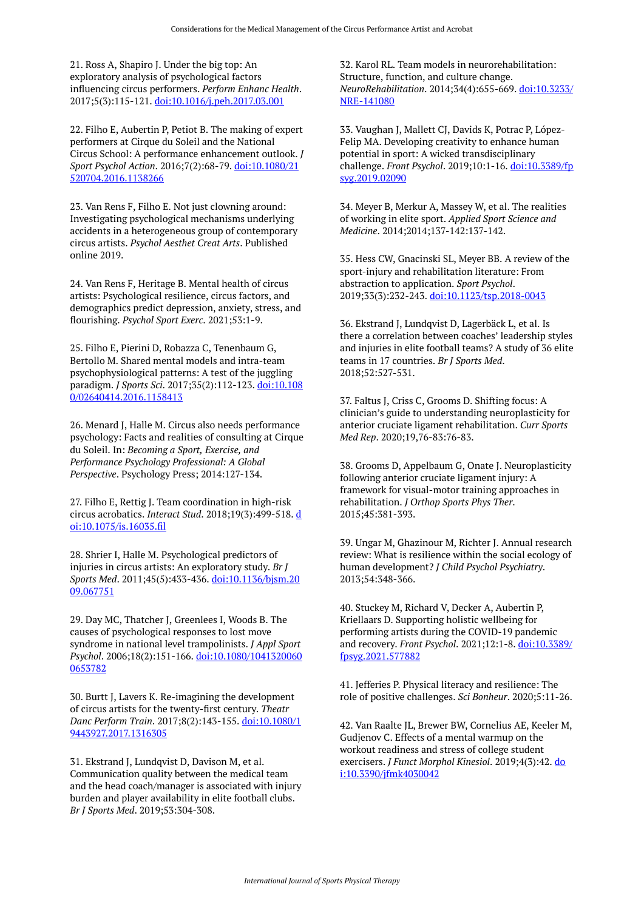21. Ross A, Shapiro J. Under the big top: An exploratory analysis of psychological factors influencing circus performers. *Perform Enhanc Health*. 2017;5(3):115-121. [doi:10.1016/j.peh.2017.03.001](https://doi.org/10.1016/j.peh.2017.03.001) 

22. Filho E, Aubertin P, Petiot B. The making of expert performers at Cirque du Soleil and the National Circus School: A performance enhancement outlook. *J Sport Psychol Action*. 2016;7(2):68-79. [doi:10.1080/21](https://doi.org/10.1080/21520704.2016.1138266) [520704.2016.1138266](https://doi.org/10.1080/21520704.2016.1138266)

23. Van Rens F, Filho E. Not just clowning around: Investigating psychological mechanisms underlying accidents in a heterogeneous group of contemporary circus artists. *Psychol Aesthet Creat Arts*. Published online 2019.

24. Van Rens F, Heritage B. Mental health of circus artists: Psychological resilience, circus factors, and demographics predict depression, anxiety, stress, and flourishing. *Psychol Sport Exerc*. 2021;53:1-9.

25. Filho E, Pierini D, Robazza C, Tenenbaum G, Bertollo M. Shared mental models and intra-team psychophysiological patterns: A test of the juggling paradigm. *J Sports Sci*. 2017;35(2):112-123. [doi:10.108](https://doi.org/10.1080/02640414.2016.1158413) [0/02640414.2016.1158413](https://doi.org/10.1080/02640414.2016.1158413) 

26. Menard J, Halle M. Circus also needs performance psychology: Facts and realities of consulting at Cirque du Soleil. In: *Becoming a Sport, Exercise, and Performance Psychology Professional: A Global Perspective*. Psychology Press; 2014:127-134.

27. Filho E, Rettig J. Team coordination in high-risk circus acrobatics. *Interact Stud*. 2018;19(3):499-518. [d](https://doi.org/10.1075/is.16035.fil) [oi:10.1075/is.16035.fil](https://doi.org/10.1075/is.16035.fil) 

28. Shrier I, Halle M. Psychological predictors of injuries in circus artists: An exploratory study. *Br J Sports Med*. 2011;45(5):433-436. [doi:10.1136/bjsm.20](https://doi.org/10.1136/bjsm.2009.067751) [09.067751](https://doi.org/10.1136/bjsm.2009.067751) 

29. Day MC, Thatcher J, Greenlees I, Woods B. The causes of psychological responses to lost move syndrome in national level trampolinists. *J Appl Sport Psychol*. 2006;18(2):151-166. [doi:10.1080/1041320060](https://doi.org/10.1080/10413200600653782) [0653782](https://doi.org/10.1080/10413200600653782)

30. Burtt J, Lavers K. Re-imagining the development of circus artists for the twenty-first century. *Theatr Danc Perform Train*. 2017;8(2):143-155. [doi:10.1080/1](https://doi.org/10.1080/19443927.2017.1316305) [9443927.2017.1316305](https://doi.org/10.1080/19443927.2017.1316305)

31. Ekstrand J, Lundqvist D, Davison M, et al. Communication quality between the medical team and the head coach/manager is associated with injury burden and player availability in elite football clubs. *Br J Sports Med*. 2019;53:304-308.

32. Karol RL. Team models in neurorehabilitation: Structure, function, and culture change. *NeuroRehabilitation*. 2014;34(4):655-669. [doi:10.3233/](https://doi.org/10.3233/NRE-141080) [NRE-141080](https://doi.org/10.3233/NRE-141080) 

33. Vaughan J, Mallett CJ, Davids K, Potrac P, López-Felip MA. Developing creativity to enhance human potential in sport: A wicked transdisciplinary challenge. *Front Psychol*. 2019;10:1-16. [doi:10.3389/fp](https://doi.org/10.3389/fpsyg.2019.02090) [syg.2019.02090](https://doi.org/10.3389/fpsyg.2019.02090) 

34. Meyer B, Merkur A, Massey W, et al. The realities of working in elite sport. *Applied Sport Science and Medicine*. 2014;2014;137-142:137-142.

35. Hess CW, Gnacinski SL, Meyer BB. A review of the sport-injury and rehabilitation literature: From abstraction to application. *Sport Psychol*. 2019;33(3):232-243. [doi:10.1123/tsp.2018-0043](https://doi.org/10.1123/tsp.2018-0043)

36. Ekstrand J, Lundqvist D, Lagerbäck L, et al. Is there a correlation between coaches' leadership styles and injuries in elite football teams? A study of 36 elite teams in 17 countries. *Br J Sports Med*. 2018;52:527-531.

37. Faltus J, Criss C, Grooms D. Shifting focus: A clinician's guide to understanding neuroplasticity for anterior cruciate ligament rehabilitation. *Curr Sports Med Rep*. 2020;19,76-83:76-83.

38. Grooms D, Appelbaum G, Onate J. Neuroplasticity following anterior cruciate ligament injury: A framework for visual-motor training approaches in rehabilitation. *J Orthop Sports Phys Ther*. 2015;45:381-393.

39. Ungar M, Ghazinour M, Richter J. Annual research review: What is resilience within the social ecology of human development? *J Child Psychol Psychiatry*. 2013;54:348-366.

40. Stuckey M, Richard V, Decker A, Aubertin P, Kriellaars D. Supporting holistic wellbeing for performing artists during the COVID-19 pandemic and recovery. *Front Psychol*. 2021;12:1-8. [doi:10.3389/](https://doi.org/10.3389/fpsyg.2021.577882) [fpsyg.2021.577882](https://doi.org/10.3389/fpsyg.2021.577882) 

41. Jefferies P. Physical literacy and resilience: The role of positive challenges. *Sci Bonheur*. 2020;5:11-26.

42. Van Raalte JL, Brewer BW, Cornelius AE, Keeler M, Gudjenov C. Effects of a mental warmup on the workout readiness and stress of college student exercisers. *J Funct Morphol Kinesiol*. 2019;4(3):42. [do](https://doi.org/10.3390/jfmk4030042) [i:10.3390/jfmk4030042](https://doi.org/10.3390/jfmk4030042)